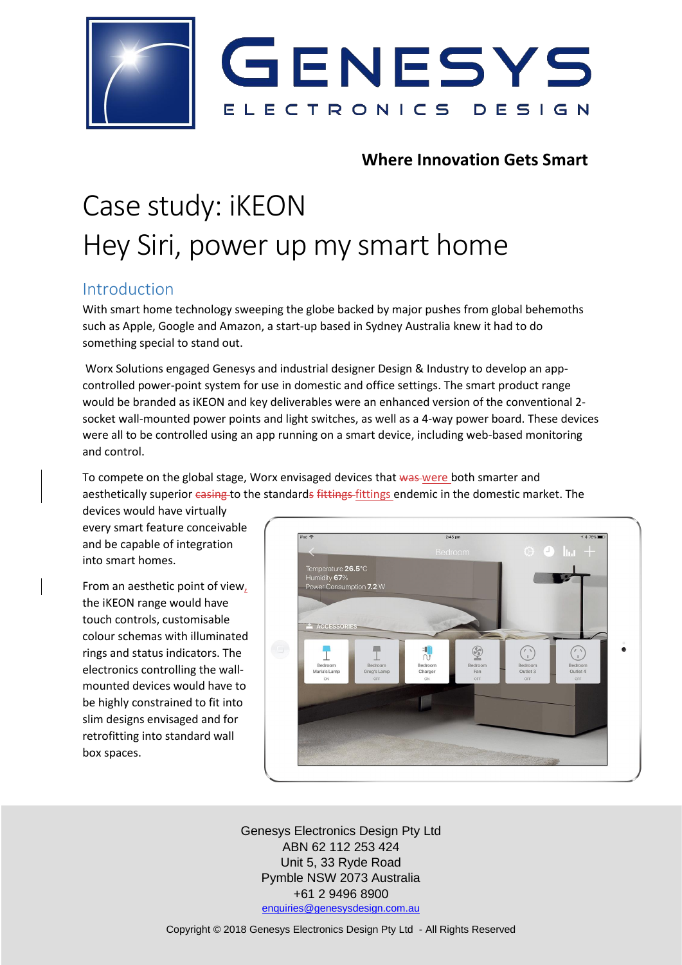

### **Where Innovation Gets Smart**

# Case study: iKEON Hey Siri, power up my smart home

### Introduction

With smart home technology sweeping the globe backed by major pushes from global behemoths such as Apple, Google and Amazon, a start-up based in Sydney Australia knew it had to do something special to stand out.

Worx Solutions engaged Genesys and industrial designer Design & Industry to develop an appcontrolled power-point system for use in domestic and office settings. The smart product range would be branded as iKEON and key deliverables were an enhanced version of the conventional 2 socket wall-mounted power points and light switches, as well as a 4-way power board. These devices were all to be controlled using an app running on a smart device, including web-based monitoring and control.

To compete on the global stage, Worx envisaged devices that was were both smarter and aesthetically superior casing to the standards fittings fittings endemic in the domestic market. The

devices would have virtually every smart feature conceivable and be capable of integration into smart homes.

From an aesthetic point of view, the iKEON range would have touch controls, customisable colour schemas with illuminated rings and status indicators. The electronics controlling the wallmounted devices would have to be highly constrained to fit into slim designs envisaged and for retrofitting into standard wall box spaces.



Genesys Electronics Design Pty Ltd ABN 62 112 253 424 Unit 5, 33 Ryde Road Pymble NSW 2073 Australia +61 2 9496 8900 [enquiries@genesysdesign.com.au](mailto:enquiries@genesysdesign.com.au)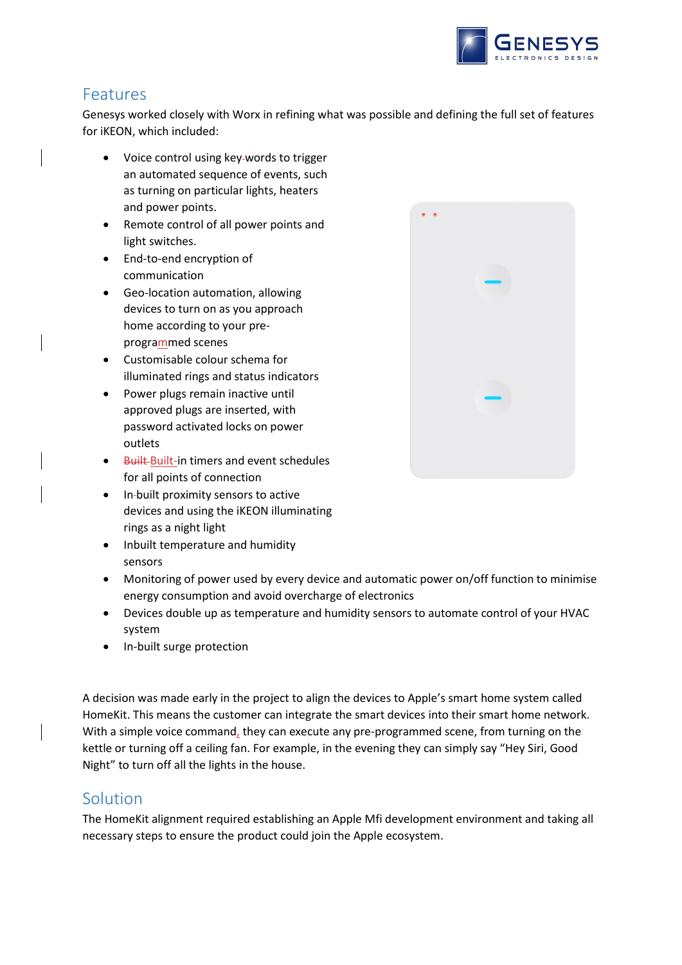

## Features

Genesys worked closely with Worx in refining what was possible and defining the full set of features for iKEON, which included:

- Voice control using key words to trigger an automated sequence of events, such as turning on particular lights, heaters and power points.
- Remote control of all power points and light switches.
- End-to-end encryption of communication
- Geo-location automation, allowing devices to turn on as you approach home according to your preprogrammed scenes
- Customisable colour schema for illuminated rings and status indicators
- Power plugs remain inactive until approved plugs are inserted, with password activated locks on power outlets
- Built-Built-in timers and event schedules for all points of connection
- In built proximity sensors to active devices and using the iKEON illuminating rings as a night light
- Inbuilt temperature and humidity sensors
- Monitoring of power used by every device and automatic power on/off function to minimise energy consumption and avoid overcharge of electronics
- Devices double up as temperature and humidity sensors to automate control of your HVAC system
- In-built surge protection

A decision was made early in the project to align the devices to Apple's smart home system called HomeKit. This means the customer can integrate the smart devices into their smart home network. With a simple voice command, they can execute any pre-programmed scene, from turning on the kettle or turning off a ceiling fan. For example, in the evening they can simply say "Hey Siri, Good Night" to turn off all the lights in the house.

### Solution

The HomeKit alignment required establishing an Apple Mfi development environment and taking all necessary steps to ensure the product could join the Apple ecosystem.

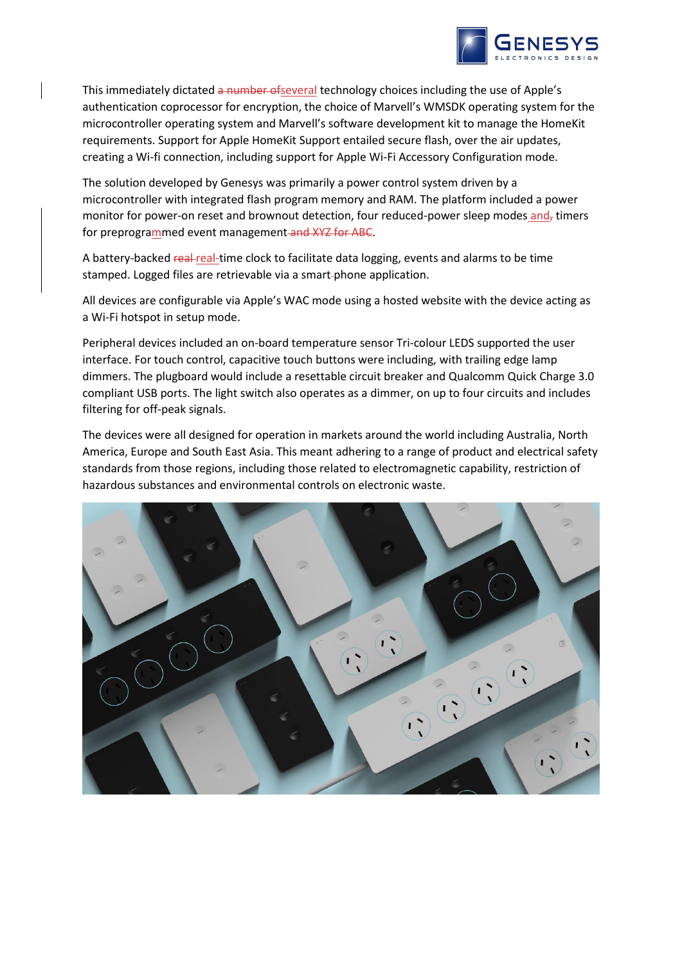

This immediately dictated a number of several technology choices including the use of Apple's authentication coprocessor for encryption, the choice of Marvell's WMSDK operating system for the microcontroller operating system and Marvell's software development kit to manage the HomeKit requirements. Support for Apple HomeKit Support entailed secure flash, over the air updates, creating a Wi-fi connection, including support for Apple Wi-Fi Accessory Configuration mode.

The solution developed by Genesys was primarily a power control system driven by a microcontroller with integrated flash program memory and RAM. The platform included a power monitor for power-on reset and brownout detection, four reduced-power sleep modes and, timers for preprogrammed event management and XYZ for ABC.

A battery-backed real-real-time clock to facilitate data logging, events and alarms to be time stamped. Logged files are retrievable via a smart phone application.

All devices are configurable via Apple's WAC mode using a hosted website with the device acting as a Wi-Fi hotspot in setup mode.

Peripheral devices included an on-board temperature sensor Tri-colour LEDS supported the user interface. For touch control, capacitive touch buttons were including, with trailing edge lamp dimmers. The plugboard would include a resettable circuit breaker and Qualcomm Quick Charge 3.0 compliant USB ports. The light switch also operates as a dimmer, on up to four circuits and includes filtering for off-peak signals.

The devices were all designed for operation in markets around the world including Australia, North America, Europe and South East Asia. This meant adhering to a range of product and electrical safety standards from those regions, including those related to electromagnetic capability, restriction of hazardous substances and environmental controls on electronic waste.